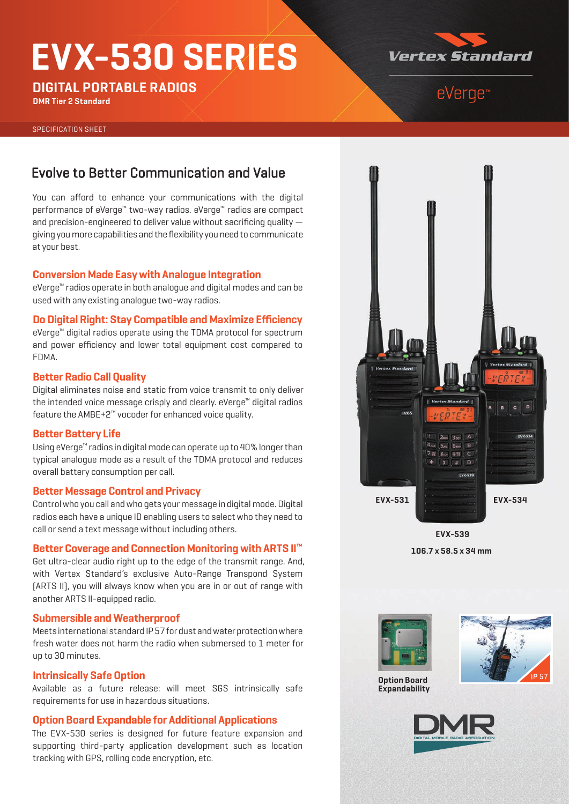# **EVX-530 SERIES**

**DIGITAL PORTABLE RADIOS**

**DMR Tier 2 Standard**

# **Vertex Standard**

# eVerge™

SPECIFICATION SHEET

### Evolve to Better Communication and Value

You can afford to enhance your communications with the digital performance of eVerge™ two-way radios. eVerge™ radios are compact and precision-engineered to deliver value without sacrificing quality  $$ giving you more capabilities and the flexibility you need to communicate at your best.

#### **Conversion Made Easy with Analogue Integration**

eVerge™ radios operate in both analogue and digital modes and can be used with any existing analogue two-way radios.

#### **Do Digital Right: Stay Compatible and Maximize Efficiency**

eVerge™ digital radios operate using the TDMA protocol for spectrum and power efficiency and lower total equipment cost compared to FDMA.

#### **Better Radio Call Quality**

Digital eliminates noise and static from voice transmit to only deliver the intended voice message crisply and clearly. eVerge™ digital radios feature the AMBE+2™ vocoder for enhanced voice quality.

#### **Better Battery Life**

Using eVerge™ radios in digital mode can operate up to 40% longer than typical analogue mode as a result of the TDMA protocol and reduces overall battery consumption per call.

#### **Better Message Control and Privacy**

Control who you call and who gets your message in digital mode. Digital radios each have a unique ID enabling users to select who they need to call or send a text message without including others.

#### **Better Coverage and Connection Monitoring with ARTS II™**

Get ultra-clear audio right up to the edge of the transmit range. And, with Vertex Standard's exclusive Auto-Range Transpond System (ARTS II), you will always know when you are in or out of range with another ARTS II-equipped radio.

#### **Submersible and Weatherproof**

Meets international standard IP 57 for dust and water protection where fresh water does not harm the radio when submersed to 1 meter for up to 30 minutes.

#### **Intrinsically Safe Option**

Available as a future release: will meet SGS intrinsically safe requirements for use in hazardous situations.

#### **Option Board Expandable for Additional Applications**

The EVX-530 series is designed for future feature expansion and supporting third-party application development such as location tracking with GPS, rolling code encryption, etc.



**106.7 x 58.5 x 34 mm EVX-539**



**Expandability**